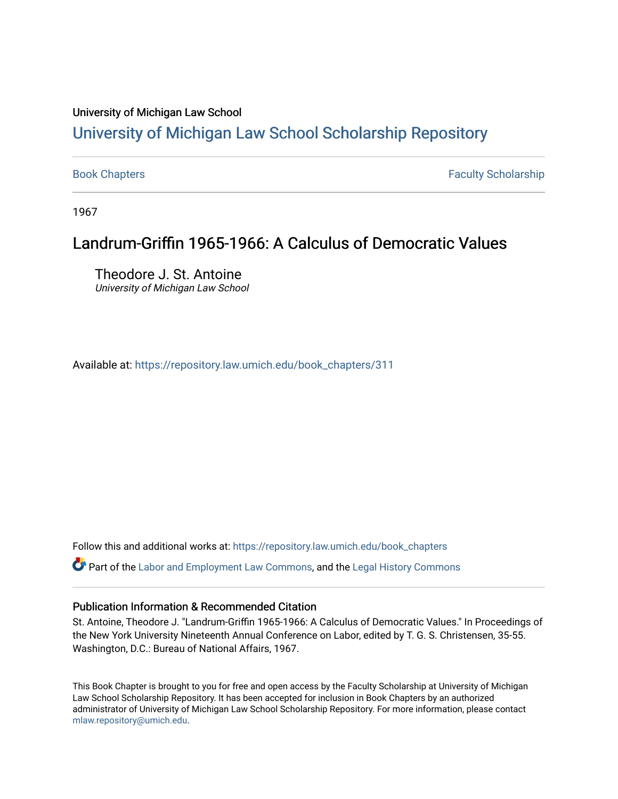#### University of Michigan Law School

### [University of Michigan Law School Scholarship Repository](https://repository.law.umich.edu/)

[Book Chapters](https://repository.law.umich.edu/book_chapters) Faculty Scholarship

1967

## Landrum-Griffin 1965-1966: A Calculus of Democratic Values

Theodore J. St. Antoine University of Michigan Law School

Available at: [https://repository.law.umich.edu/book\\_chapters/311](https://repository.law.umich.edu/book_chapters/311) 

Follow this and additional works at: [https://repository.law.umich.edu/book\\_chapters](https://repository.law.umich.edu/book_chapters?utm_source=repository.law.umich.edu%2Fbook_chapters%2F311&utm_medium=PDF&utm_campaign=PDFCoverPages) Part of the [Labor and Employment Law Commons](http://network.bepress.com/hgg/discipline/909?utm_source=repository.law.umich.edu%2Fbook_chapters%2F311&utm_medium=PDF&utm_campaign=PDFCoverPages), and the [Legal History Commons](http://network.bepress.com/hgg/discipline/904?utm_source=repository.law.umich.edu%2Fbook_chapters%2F311&utm_medium=PDF&utm_campaign=PDFCoverPages)

#### Publication Information & Recommended Citation

St. Antoine, Theodore J. "Landrum-Griffin 1965-1966: A Calculus of Democratic Values." In Proceedings of the New York University Nineteenth Annual Conference on Labor, edited by T. G. S. Christensen, 35-55. Washington, D.C.: Bureau of National Affairs, 1967.

This Book Chapter is brought to you for free and open access by the Faculty Scholarship at University of Michigan Law School Scholarship Repository. It has been accepted for inclusion in Book Chapters by an authorized administrator of University of Michigan Law School Scholarship Repository. For more information, please contact [mlaw.repository@umich.edu.](mailto:mlaw.repository@umich.edu)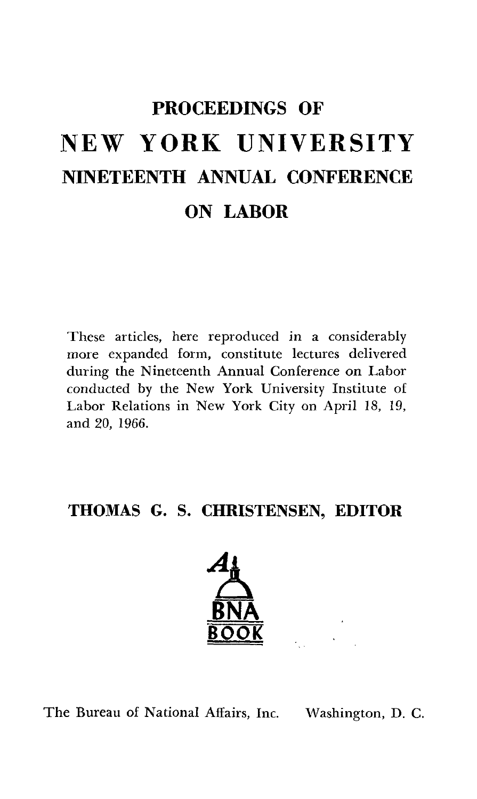# **PROCEEDINGS OF NEW YORK UNIVERSITY NINETEENTH ANNUAL CONFERENCE ON LABOR**

These articles, here reproduced in a considerably more expanded form, constitute lectures delivered during the Nineteenth Annual Conference on Labor conducted by the New York University Institute of Labor Relations in New York City on April 18, 19, and 20, 1966.

**THOMAS G. S. CHRISTENSEN, EDITOR** 



The Bureau of National Affairs, Inc. Washington, D. C.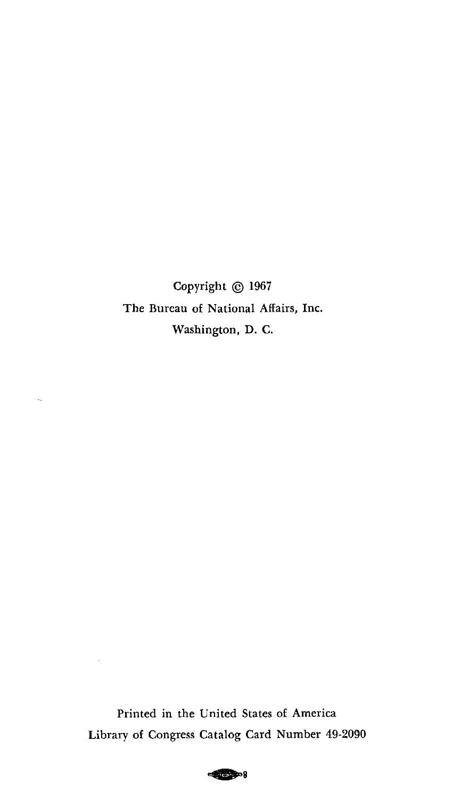Copyright © 1967 The Bureau of National Affairs, Inc. Washington, D. C.

Printed in the United States of America Library of Congress Catalog Card Number 49-2090

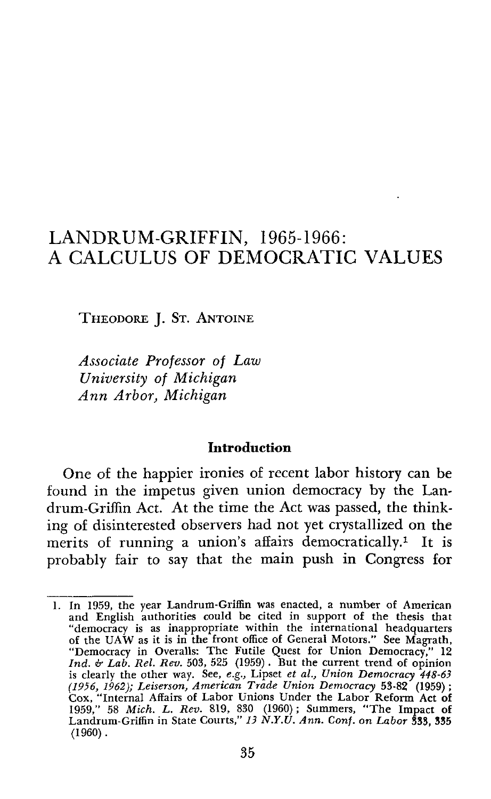### LANDRUM-GRIFFIN, 1965-1966: A CALCULUS OF DEMOCRATIC VALUES

THEODORE J. ST. ANTOINE

*Associate Professor of Law University of Michigan Ann Arbor, Michigan* 

#### **Introduction**

One of the happier ironies of recent labor history can be found in the impetus given union democracy by the Landrum-Griffin Act. At the time the Act was passed, the thinking of disinterested observers had not yet crystallized on the merits of running a union's affairs democratically.<sup>1</sup> It is probably fair to say that the main push in Congress for

I. In 1959, the year Landrum-Griffin was enacted, a number of American and English authorities could be cited in support of the thesis that "democracy is as inappropriate within the international headquarters of the UAW as it is in the front office of General Motors." See Magrath, "Democracy in Overalls: The Futile Quest for Union Democracy," 12 *Ind. & Lab. Rel. Rev.* 503, 525 (1959) . But the current trend of opinion is clearly the other way. See, *e.g.,* Lipset *et al., Union Democracy 448-63 (1956, 1962); Leiserson, American Trade Union Democracy* 53-82 (1959); Cox, "Internal Affairs of Labor Unions Under the Labor Reform Act of 1959," 58 *Mich.* L. *Rev.* 819, 830 (1960); Summers, "The Impact of Landrum-Griffin in State Courts," *13 N.Y.U. Ann. Conf. on Labor* **333, 335**  (1960).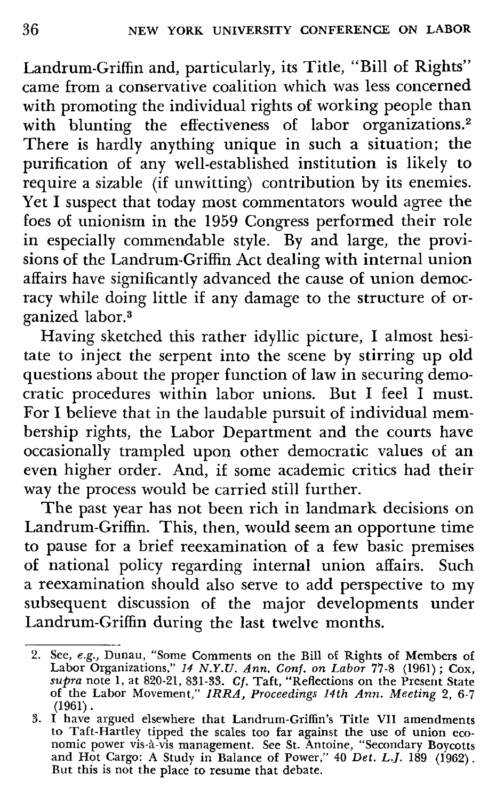Landrum-Griffin and, particularly, its Title, "Bill of Rights" came from a conservative coalition which was less concerned with promoting the individual rights of working people than with blunting the effectiveness of labor organizations.<sup>2</sup> There is hardly anything unique in such a situation; the purification of any well-established institution is likely to require a sizable (if unwitting) contribution by its enemies. Yet I suspect that today most commentators would agree the foes of unionism in the 1959 Congress performed their role in especially commendable style. By and large, the provisions of the Landrum-Griffin Act dealing with internal union affairs have significantly advanced the cause of union democracy while doing little if any damage to the structure of organized labor.<sup>3</sup>

Having sketched this rather idyllic picture, I almost hesitate to inject the serpent into the scene by stirring up old questions about the proper function of law in securing democratic procedures within labor unions. But I feel I must. For I believe that in the laudable pursuit of individual membership rights, the Labor Department and the courts have occasionally trampled upon other democratic values of an even higher order. And, if some academic critics had their way the process would be carried still further.

The past year has not been rich in landmark decisions on Landrum-Griffin. This, then, would seem an opportune time to pause for a brief reexamination of a few basic premises of national policy regarding internal union affairs. Such a reexamination should also serve to add perspective to my subsequent discussion of the major developments under Landrum-Griffin during the last twelve months.

<sup>2.</sup> See, *e.g.,* Dunau, "Some Comments on the Bill of Rights of Members of Labor Organizations," *14 N.Y.U. Ann. Conf. on Labor* 77-8 (1961); Cox, *supra* note 1, at 820-21, 831-33. *Cf,* Taft, "Reflections on the Present State of the Labor Movement," *IRRA, Proceedings 14th Ann. Meeting* 2, 6-7 (1961).

<sup>3.</sup> I have argued elsewhere that Landrum-Griffin's Title VII amendments to Taft-Hartley tipped the scales too far against the use of union economic power vis-a-vis management. See St. Antoine, "Secondary Boycotts and Hot Cargo: A Study in Balance of Power," 40 *Det.* L.]. 189 (1962). But this is not the place to resume that debate.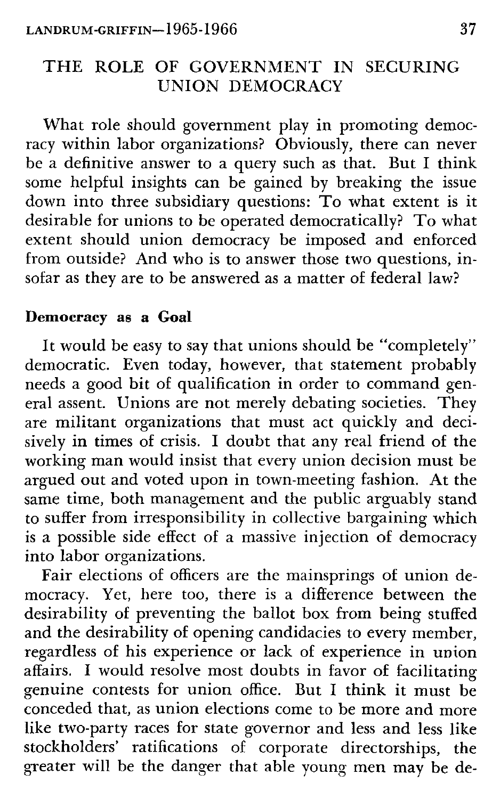#### THE ROLE OF GOVERNMENT IN SECURING UNION DEMOCRACY

What role should government play in promoting democracy within labor organizations? Obviously, there can never be a definitive answer to a query such as that. But I think some helpful insights can be gained by breaking the issue down into three subsidiary questions: To what extent is it desirable for unions to be operated democratically? To what extent should union democracy be imposed and enforced from outside? And who is to answer those two questions, insofar as they are to be answered as a matter of federal law?

#### **Democracy as a Goal**

It would be easy to say that unions should be "completely" democratic. Even today, however, that statement probably needs a good bit of qualification in order to command general assent. Unions are not merely debating societies. They are militant organizations that must act quickly and decisively in times of crisis. I doubt that any real friend of the working man would insist that every union decision must be argued out and voted upon in town-meeting fashion. At the same time, both management and the public arguably stand to suffer from irresponsibility in collective bargaining which is a possible side effect of a massive injection of democracy into labor organizations.

Fair elections of officers are the mainsprings of union democracy. Yet, here too, there is a difference between the desirability of preventing the ballot box from being stuffed and the desirability of opening candidacies to every member, regardless of his experience or lack of experience in *union*  affairs. I would resolve most doubts in favor of facilitating genuine contests for union office. But I think it must be conceded that, as union elections come to be more and more like two-party races for state governor and less and less like stockholders' ratifications of corporate directorships, the greater will be the danger that able young men may be de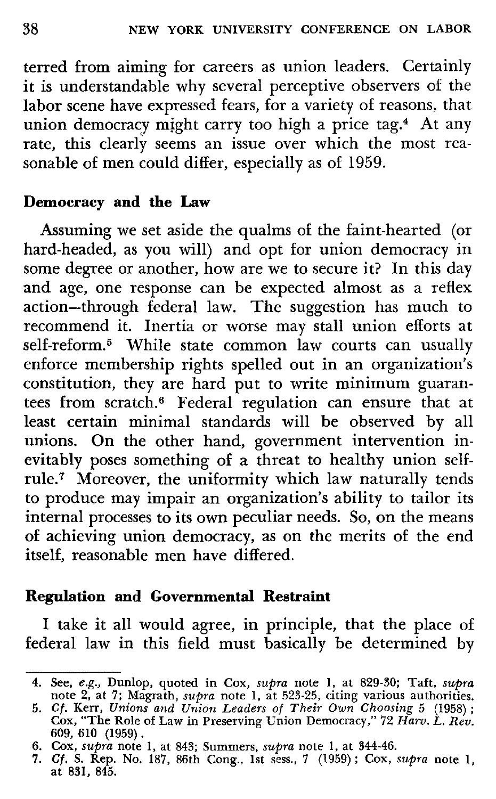terred from aiming for careers as union leaders. Certainly it is understandable why several perceptive observers of the labor scene have expressed fears, for a variety of reasons, that union democracy might carry too high a price tag.<sup>4</sup> At any rate, this clearly seems an issue over which the most reasonable of men could differ, especially as of 1959.

#### **Democracy and the Law**

Assuming we set aside the qualms of the faint-hearted (or hard-headed, as you will) and opt for union democracy in some degree or another, how are we to secure it? In this day and age, one response can be expected almost as a reflex action-through federal law. The suggestion has much to recommend it. Inertia or worse may stall union efforts at self-reform.<sup>5</sup> While state common law courts can usually enforce membership rights spelled out in an organization's constitution, they are hard put to write minimum guarantees from scratch.6 Federal regulation can ensure that at least certain minimal standards will be observed by all unions. **On** the other hand, government intervention inevitably poses something of a threat to healthy union selfrule.7 Moreover, the uniformity which law naturally tends to produce may impair an organization's ability to tailor its internal processes to its own peculiar needs. So, on the means of achieving union democracy, as on the merits of the end itself, reasonable men have differed.

#### **Regulation and Governmental Restraint**

I take it all would agree, in principle, that the place of federal law in this field must basically be determined by

<sup>4.</sup> See, *e.g.,* Dunlop, quoted in Cox, *supra* note I, at 829-30; Taft, *supra*  note 2, at 7; Magrath, *supra* note I, at 523-25, citing various authorities.

<sup>5.</sup> *Cf.* Kerr, *Unions and Union Leaders of Their Own Choosing* 5 (1958); Cox, "The Role of Law in Preserving Union Democracy," 72 *Harv. L. Rev.*  609, 610 (1959) .

<sup>6.</sup> Cox, *supra* note 1, at 843; Summers, *supra* note 1, at 344-46.

<sup>7.</sup> *Cf.* S. Rep. No. 187, 86th Cong., 1st sess., 7 (1959); Cox, *supra* note 1, at 831, 845.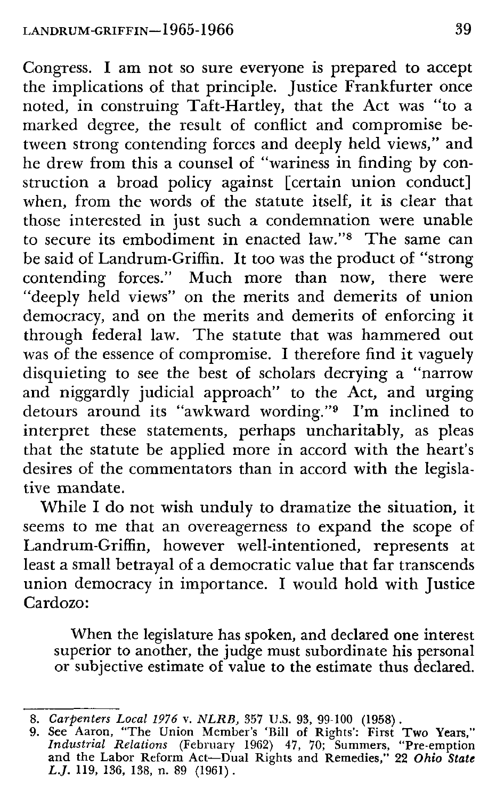Congress. I am not so sure everyone is prepared to accept the implications of that principle. Justice Frankfurter once noted, in construing Taft-Hartley, that the Act was "to a marked degree, the result of conflict and compromise between strong contending forces and deeply held views," and he drew from this a counsel of "wariness in finding by construction a broad policy against [certain union conduct] when, from the words of the statute itself, it is clear that those interested in just such a condemnation were unable to secure its embodiment in enacted law."<sup>8</sup> The same can be said of Landrum-Griffin. It too was the product of "strong contending forces." Much more than now, there were "deeply held views" on the merits and demerits of union democracy, and on the merits and demerits of enforcing it through federal law. The statute that was hammered out was of the essence of compromise. I therefore find it vaguely disquieting to see the best of scholars decrying a "narrow and niggardly judicial approach" to the Act, and urging detours around its "awkward wording."<sup>9</sup> I'm inclined to interpret these statements, perhaps uncharitably, as pleas that the statute be applied more in accord with the heart's desires of the commentators than in accord with the legislative mandate.

While I do not wish unduly to dramatize the situation, it seems to me that an overeagerness to expand the scope of Landrum-Griffin, however well-intentioned, represents at least a small betrayal of a democratic value that far transcends union democracy in importance. I would hold with Justice Cardozo:

When the legislature has spoken, and declared one interest superior to another, the judge must subordinate his personal or subjective estimate of value to the estimate thus declared.

<sup>8.</sup> *Carpenters Local 1976* v. *NLRB,* 357 U.S. 93, 99-100 (1958).

<sup>9.</sup> See Aaron, "The Union Member's 'Bill of Rights': First Two Years," *Industrial Relations* (February 1962) 47, 70; Summers, "Pre-emption and the Labor Reform Act-Dual Rights and Remedies," 22 *Ohio State*  L.J. 119, 136, 138, n. 89 (1961).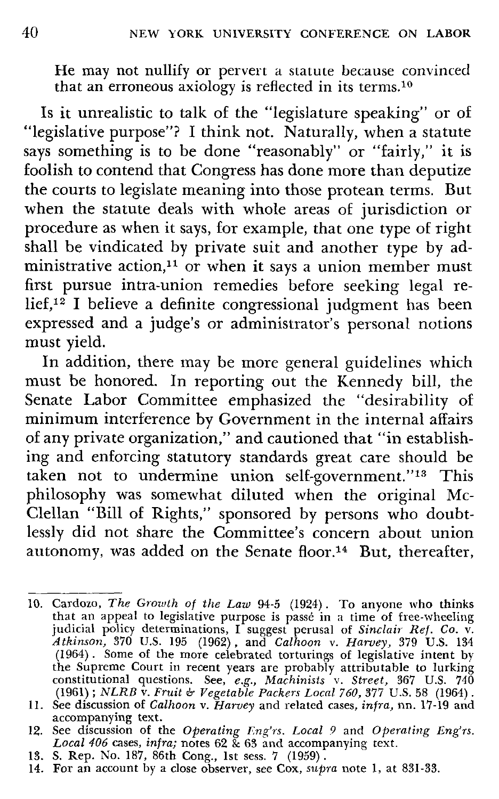He may not nullify or pervert a statute because convinced that an erroneous axiology is reflected in its terms.10

Is it unrealistic to talk of the "legislature speaking" or of "legislative purpose"? I think not. Naturally, when a statute says something is to be done "reasonably" or "fairly," it is foolish to contend that Congress has done more than deputize the courts to legislate meaning into those protean terms. But when the statute deals with whole areas of jurisdiction or procedure as when it says, for example, that one type of right shall be vindicated by private suit and another type by administrative action,<sup>11</sup> or when it says a union member must first pursue intra-union remedies before seeking legal relief,<sup>12</sup> I believe a definite congressional judgment has been expressed and a judge's or administrator's personal notions must yield.

In addition, there may be more general guidelines which must be honored. In reporting out the Kennedy bill, the Senate Labor Committee emphasized the "desirability of minimum interference by Government in the internal affairs of any private organization," and cautioned that "in establishing and enforcing statutory standards great care should be taken not to undermine union self-government."13 This philosophy was somewhat diluted when the original Mc-Clellan "Bill of Rights," sponsored by persons who doubtlessly did not share the Committee's concern about union autonomy, was added on the Senate floor.<sup>14</sup> But, thereafter,

<sup>10.</sup> Cardozo, *The Growth of the Law* 94-5 (1924). To anyone who thinks that an appeal to legislative purpose is passé in a time of free-wheeling<br>judicial policy determinations, I suggest perusal of *Sinclair Ref. Co.* v. *Atkinson,* 370 U.S. 195 (1962), and *Calhoon* v. *Harvey,* 379 U.S. 134 (1964). Some of the more celebrated torturings of legislative intent by the Supreme Court in recent years are probably attributable to lurking<br>constitutional questions. See, e.g., Machinists v. Street, 367 U.S. 740<br>(1961); NLRB v. Fruit & Vegetable Packers Local 760, 377 U.S. 58 (1964).<br>11. Se

accompanying text.

<sup>12.</sup> *See* discussion of the *Operating F,ng'rs. Local 9* and *Operating Eng'rs. Local 406* cases, *infra;* notes 62 8c 63 and accompanying text.

<sup>13.</sup> S. Rep. No. 187, 86th Cong., 1st sess. 7 (1959). 14. For an account by a close observer, see Cox, *supra* note 1, at 831-33.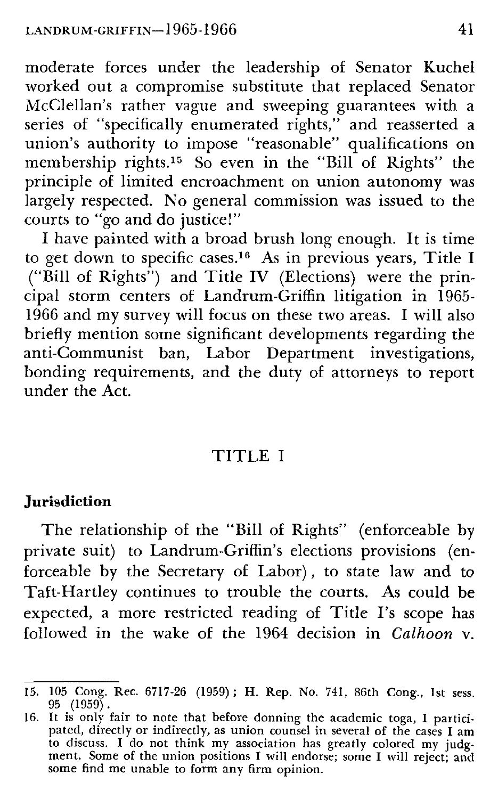moderate forces under the leadership of Senator Kuchel worked out a compromise substitute that replaced Senator McClellan's rather vague and sweeping guarantees with a series of "specifically enumerated rights," and reasserted a union's authority to impose "reasonable" qualifications on membership rights. 15 So even in the **"Bill** of Rights" the principle of limited encroachment on union autonomy was largely respected. No general commission was issued to the courts to "go and do justice!"

I have painted with a broad brush long enough. It is time to get down to specific cases.16 As in previous years, Title I ("Bill of Rights") and Title IV (Elections) were the principal storm centers of Landrum-Griffin litigation in 1965- 1966 and my survey will focus on these two areas. I will also briefly mention some significant developments regarding the anti-Communist ban, Labor Department investigations, bonding requirements, and the duty of attorneys to report under the Act.

#### TITLE I

#### **Jurisdiction**

The relationship of the "Bill of Rights" (enforceable by private suit) to Landrum-Griffin's elections provisions (enforceable by the Secretary of Labor) , to state law and *to*  Taft-Hartley continues to trouble the courts. As could be expected, a more restricted reading of Title I's scope has followed in the wake of the 1964 decision in *Calhoon* v.

<sup>15. 105</sup> Cong. Rec. 6717-26 (1959); H. Rep. No. 741, 86th Cong., 1st sess. 95 (1959).

<sup>16.</sup> It is only fair to note that before donning the academic toga, I participated, directly or indirectly, as union counsel in several of the cases I am to discuss. I do not think my association has greatly colored my judgment. Some of the union positions I will endorse; some I will reject; and some find me unable to form any firm opinion.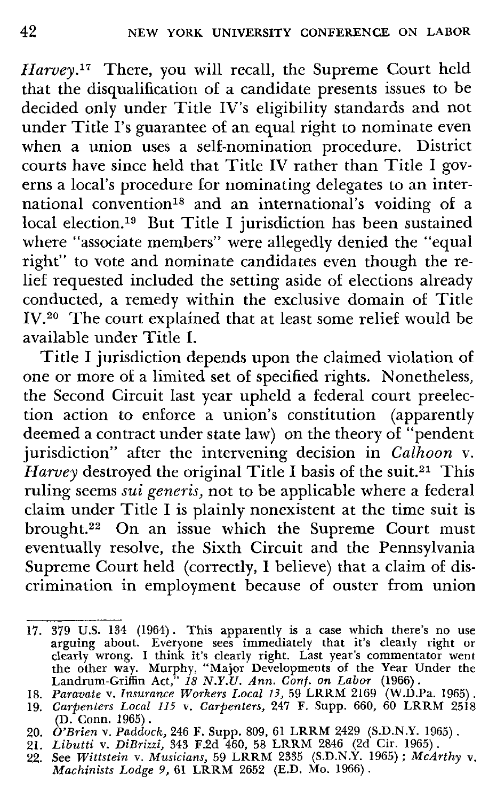*Harvey.*<sup>17</sup> There, you will recall, the Supreme Court held that the disqualification of a candidate presents issues to be decided only under Title IV's eligibility standards and not under Title I's guarantee of an equal right to nominate even when a union uses a self-nomination procedure. District courts have since held that Title IV rather than Title I governs a local's procedure for nominating delegates to an international convention18 and an international's voiding of a local election.19 But Title I jurisdiction has been sustained where "associate members" were allegedly denied the "equal right" to vote and nominate candidates even though the relief requested included the setting aside of elections already conducted, a remedy within the exclusive domain of Title IV.<sup>20</sup> The court explained that at least some relief would be available under Title I.

Title I jurisdiction depends upon the claimed violation of one or more of a limited set of specified rights. Nonetheless, the Second Circuit last year upheld a federal court preelection action to enforce a union's constitution (apparently deemed a contract under state law) on the theory of "pendent jurisdiction" after the intervening decision in *Calhoon* v. *Harvey* destroyed the original Title I basis of the suit.<sup>21</sup> This ruling seems *sui generis,* not to be applicable where a federal claim under Title I is plainly nonexistent at the time suit is brought.22 On an issue which the Supreme Court must eventually resolve, the Sixth Circuit and the Pennsylvania Supreme Court held (correctly, I believe) that a claim of discrimination in employment because of ouster from union

22. See *Wittstein* v. *Musicians,* 59 LRRM 2335 (S.D.N.Y. 1965); *McArthy* v. *Machinists Lodge 9,* 61 LRRM 2652 (E.D. Mo. 1966).

<sup>17. 379</sup> U.S. 134 (1964). This apparently is a case which there's no use arguing about. Everyone sees immediately that it's clearly right or clearly wrong. I think it's clearly right. Last year's commentator went the other way. Murphy, "Major Developments of the Year Under the Landrum-Griffin Act," 18 N.Y.U. Ann. Conf. on Labor (1966).

<sup>18.</sup> *Paravate* v. *Insurance Workers Local 13,* 59 LRRM 2169 (W.D.Pa. 1965).

<sup>19.</sup> *Carpenters Local 115* v. *Carpenters,* 247 F. Supp. 660, 60 LRRM 2518 (D. Conn. 1965).

<sup>20.</sup> *O'Brien* v. *Paddock,* 246 F. Supp. 809, 61 LRRM 2429 (S.D.N.Y. 1965). 21. *Libutti* v. *DiBrizzi,* 343 F.2d 460, 58 LRRM 2846 (2d Cir. 1965).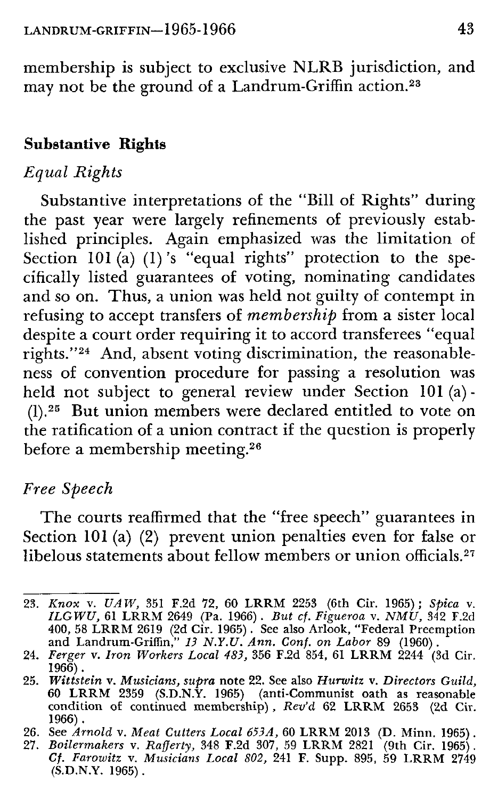membership is subject to exclusive **NLRB** jurisdiction, and may not be the ground of a Landrum-Griffin action.<sup>23</sup>

#### **Substantive Rights**

#### *Equal Rights*

Substantive interpretations of the "Bill of Rights" during the past year were largely refinements of previously established principles. Again emphasized was the limitation of Section 101 (a) (1) 's "equal rights" protection to the specifically listed guarantees of voting, nominating candidates and so on. Thus, a union was held not guilty of contempt in refusing to accept transfers of *membership* from a sister local despite a court order requiring it to accord transferees "equal rights." 24 And, absent voting discrimination, the reasonableness of convention procedure for passing a resolution was held not subject to general review under Section 101 (a) -(1).<sup>25</sup> But union members were declared entitled to vote on the ratification of a union contract if the question is properly before a membership meeting. <sup>26</sup>

#### *Free Speech*

The courts reaffirmed that the "free speech" guarantees in Section 101 (a) (2) prevent union penalties even for false or libelous statements about fellow members or union officials.<sup>27</sup>

<sup>23.</sup> *Knox* v. *UAW,* 351 F.2d 72, 60 LRRM 2253 (6th Cir. 1965); *Spica* v. *ILG WU,* 61 LRRM 2649 (Pa. 1966). *But cf. Figueroa* v. *NMU,* 342 F.2d 400, 58 LRRM 2619 (2d Cir. 1965). See also Arlook, "Federal Preemption and Landrum-Griffin," *13 N.Y.U. Ann. Conf. on Labor* 89 (1960).

<sup>24.</sup> *Ferger* v. *lron Workers Local 483,* 356 F.2d 854, 61 LRRM 2244 (3d Cir. 1966).

<sup>25.</sup> *Wittstein* v. *Musicians, supra* note 22. See also *Hurwitz* v. *Directors Guild,*  60 LRRM 2359 (S.D.N.Y. 1965) (anti-Communist oath as reasonable condition of continued membership), *Rev'd* 62 LRRM 2653 (2d Cir. 1966).

<sup>26.</sup> See *Arnold* v. *Meat Cutters Local 653A,* 60 LRRM 2013 (D. Minn. 1965).

<sup>27.</sup> *Boilermakers* v. *Rafferty,* 348 F.2d 307, 59 LRRM 2821 (9th Cir. 1965). *Cf. Farowitz* v. *Musicians Local 802,* 241 F. Supp. 895, 59 LRRM 2749  $($ S.D.N.Y. 1965 $)$ .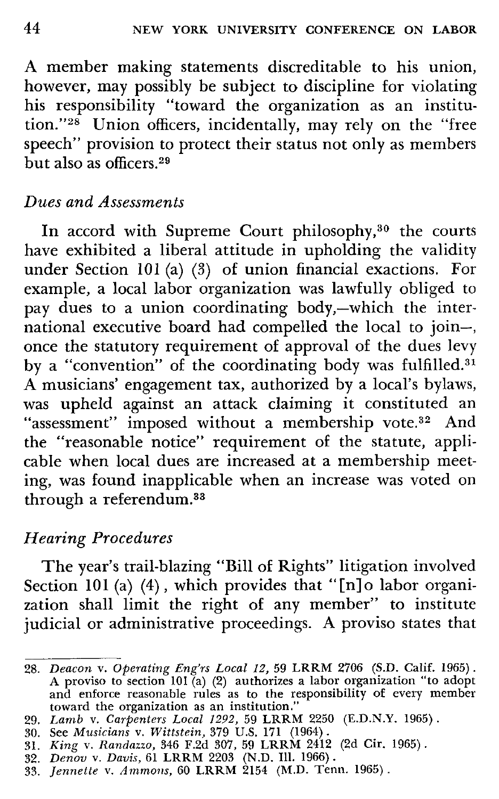A member making statements discreditable to his union, however, may possibly be subject to discipline for violating his responsibility "toward the organization as an institution."28 Union officers, incidentally, may rely on the "free speech" provision to protect their status not only as members but also as officers.29

#### *Dues and Assessments*

In accord with Supreme Court philosophy,<sup>30</sup> the courts have exhibited a liberal attitude in upholding the validity under Section 101 (a) (3) of union financial exactions. For example, a local labor organization was lawfully obliged to pay dues to a union coordinating body,-which the international executive board had compelled the local to join-, once the statutory requirement of approval of the dues levy by a "convention" of the coordinating body was fulfilled.<sup>31</sup> A musicians' engagement tax, authorized by a local's bylaws, was upheld against an attack claiming it constituted an "assessment" imposed without a membership vote.<sup>32</sup> And the "reasonable notice" requirement of the statute, applicable when local dues are increased at a membership meeting, was found inapplicable when an increase was voted on through a referendum.<sup>33</sup>

#### *Hearing Procedures*

The year's trail-blazing "Bill of Rights" litigation involved Section 101 (a) (4), which provides that "[n]o labor organization shall limit the right of any member" to institute judicial or administrative proceedings. A proviso states that

32. *Denov* v. *Davis,* 61 LRRM 2203 (N.D. Ill. 1966).

<sup>28.</sup> *Deacon* v. *Operating Eng'rs Local 12,* 59 LRRM 2706 (S.D. Calif. 1965). A proviso to section 101 (a) (2) authorizes a labor organization "to adopt and enforce reasonable rules as to the responsibility of every member toward the organization as an institution."

<sup>29.</sup> *Lamb* v. *Carpenters Local 1292,* 59 LRRM 2250 (E.D.N.Y. 1965).

<sup>30.</sup> See *Musicians* v. *Wittstein,* 379 U.S. 171 (1964). 31. *King* v. *Randazzo,* 346 F.2d 307, 59 LRRM 2412 (2d Cir. 1965).

<sup>33.</sup> *Jennette* v. *Ammo11s,* 60 LRRM 2154 (M.D. Tenn. 1965).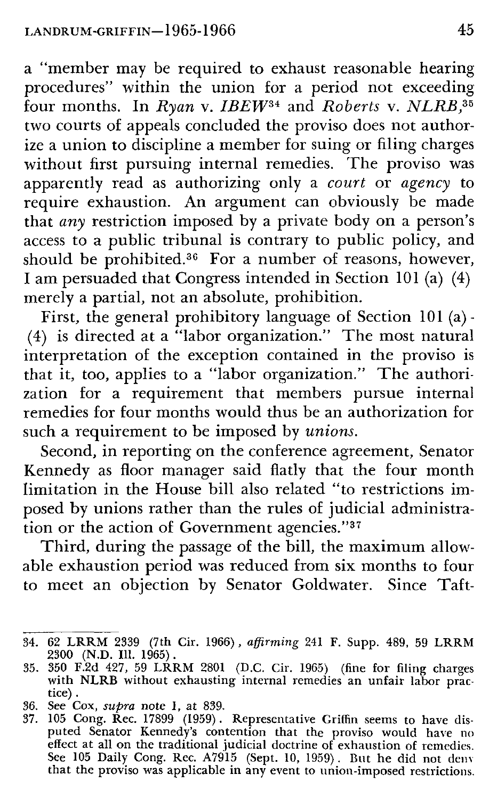a "member may be required to exhaust reasonable hearing procedures" within the union for a period not exceeding four months. In *Ryan* v. *IBEW*34 and *Roberts* v. *NLRB,* <sup>35</sup> two courts of appeals concluded the proviso does not authorize a union to discipline a member for suing or filing charges without first pursuing internal remedies. The proviso was apparently read as authorizing only a *court* or *agency* to require exhaustion. An argument can obviously be made that *any* restriction imposed by a private body on a person's access to a public tribunal is contrary to public policy, and should be prohibited.<sup>36</sup> For a number of reasons, however, I am persuaded that Congress intended in Section 101 (a) (4) merely a partial, not an absolute, prohibition.

First, the general prohibitory language of Section 101 $(a)$ . (4) is directed at a "labor organization." The most natural interpretation of the exception contained in the proviso is that it, too, applies to a "labor organization." The authorization for a requirement that members pursue internal remedies for four months would thus be an authorization for such a requirement to be imposed by *unions.* 

Second, in reporting on the conference agreement, Senator Kennedy as floor manager said flatly that the four month limitation in the House bill also related "to restrictions imposed by unions rather than the rules of judicial administration or the action of Government agencies."<sup>37</sup>

Third, during the passage of the bill, the maximum allowable exhaustion period was reduced from six months to four to meet an objection by Senator Goldwater. Since Taft-

<sup>34. 62</sup> LRRM 2339 (7th Cir. 1966), *affirming* 241 F. Supp. 489, 59 LRRM 2300 **(N.D.** Ill. 1965).

<sup>35. 350</sup> F.2d 427, 59 LRRM 2801 (D.C. Cir. 1965) (fine for filing charges with **NLRB** without exhausting internal remedies an unfair labor practice).

<sup>36.</sup> See Cox, *supra* note I, at 839.

<sup>37. 105</sup> Cong. Rec. 17899 (1959). Representative Griffin seems to have dis-puted Senator Kennedy's contention that the proviso would have no effect at all on the traditional judicial doctrine of exhaustion of remedies. See 105 Daily Cong. Rec. A7915 (Sept. 10, 1959). But he did not dem that the proviso was applicable in any event to union-imposed restrictions.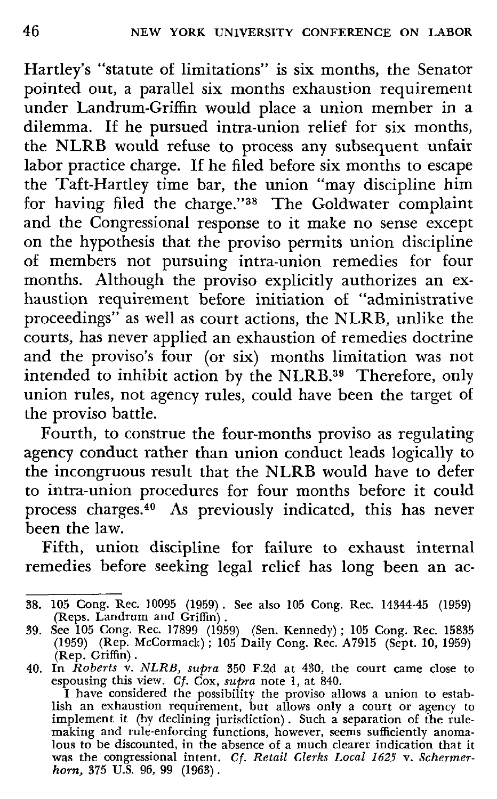Hartley's "statute of limitations" is six months, the Senator pointed out, a parallel six months exhaustion requirement under Landrum-Griffin would place a union member in a dilemma. If he pursued intra-union relief for six months, the **NLRB** would refuse to process any subsequent unfair labor practice charge. If he filed before six months to escape the Taft-Hartley time bar, the union "may discipline him for having filed the charge."<sup>38</sup> The Goldwater complaint and the Congressional response to it make no sense except on the hypothesis that the proviso permits union discipline of members not pursuing intra-union remedies for four months. Although the proviso explicitly authorizes an exhaustion requirement before initiation of "administrative proceedings" as well as court actions, the NLRB, unlike the courts, has never applied an exhaustion of remedies doctrine and the proviso's four (or six) months limitation was not intended to inhibit action by the NLRB.39 Therefore, only union rules, not agency rules, could have been the target of the proviso battle.

Fourth, to construe the four-months proviso as regulating agency conduct rather than union conduct leads logically to the incongruous result that the **NLRB** would have to defer to intra-union procedures for four months before it could process charges.40 As previously indicated, this has never been the law.

Fifth, union discipline for failure to exhaust internal remedies before seeking legal relief has long been an ac-

<sup>38. 105</sup> Cong. Rec. 10095 (1959). See also 105 Cong. Rec. 14344-45 (1959) (Reps. Landrum and Griffin) .

<sup>39.</sup> See 105 Cong. Rec. 17899 (1959) (Sen. Kennedy); 105 Cong. Rec. 15835 (1959) (Rep. McCormack); 105 Daily Cong. Rec. A7915 (Sept. 10, 1959) (Rep. Griffin) .

<sup>40.</sup> In Roberts v. NLRB, supra 350 F.2d at 430, the court came close to espousing this view. Cf. Cox, supra note 1, at 840.<br>I have considered the possibility the proviso allows a union to establish an exhaustion requirement

implement it (by declining jurisdiction) . Such a separation of the rulemaking and rule-enforcing functions, however, seems sufficiently anomalous to be discounted, in the absence of a much clearer indication that it was the congressional intent. *Cf. Retail Clerks Local 1625* v. *Schermerhorn,* 375 U.S. 96, 99 (1963).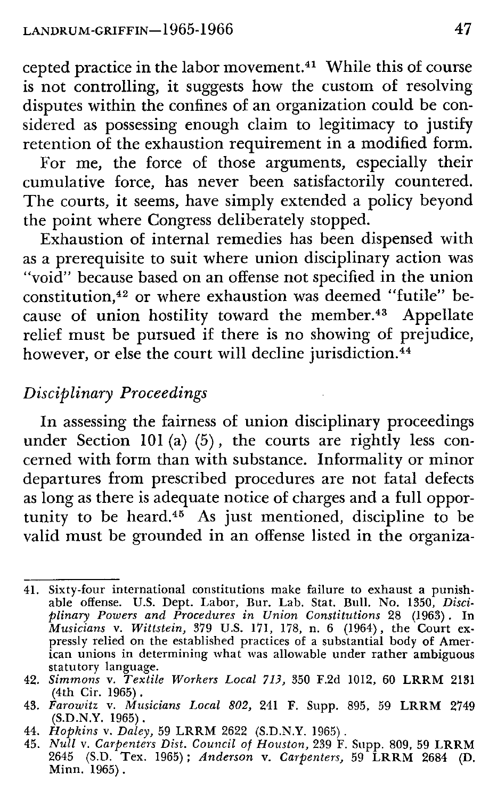cepted practice in the labor movement.<sup>41</sup> While this of course is not controlling, it suggests how the custom of resolving disputes within the confines of an organization could be considered as possessing enough claim to legitimacy to justify retention of the exhaustion requirement in a modified form.

For me, the force of those arguments, especially their cumulative force, has never been satisfactorily countered. The courts, it seems, have simply extended a policy beyond the point where Congress deliberately stopped.

Exhaustion of internal remedies has been dispensed with as a prerequisite to suit where union disciplinary action was "void" because based on an offense not specified in the union constitution,42 or where exhaustion was deemed "futile" because of union hostility toward the member.<sup>43</sup> Appellate relief must be pursued if there is no showing of prejudice, however, or else the court will decline jurisdiction.<sup>44</sup>

#### *Disciplinary Proceedings*

In assessing the fairness of union disciplinary proceedings under Section 101 (a) (5), the courts are rightly less concerned with form than with substance. Informality or minor departures from prescribed procedures are not fatal defects as long as there is adequate notice of charges and a full opportunity to be heard. $45$  As just mentioned, discipline to be valid must be grounded in an offense listed in the organiza-

<sup>41.</sup> Sixty-four international constitutions make failure to exhaust a punishable offense. U.S. Dept. Labor, Bur. Lab. Stat. Bull. No. 1350, *Disciplinary Powers and Procedures in Union Constitutions* 28 (1963). In *Musicians* v. *Wittstein,* 379 U.S. 171, 178, n. 6 (1964), the Court ex- pressly relied on the established practices of a substantial body of American unions in determining what was allowable under rather ambiguous statutory language.

<sup>42.</sup> *Simmons* v. *Textile Workers Local 713,* 350 F.2d 1012, 60 LRRM 2131 (4th Cir. 1965).

<sup>43.</sup> *Farowitz* v. *Musicians Local 802,* 241 F. Supp. 895, 59 LRRM 2749 (S.D.N.Y. 1965).

<sup>44.</sup> *Hopkins* v. *Daley,* 59 LRRM 2622 (S.D.N.Y. 1965). 45. *Null* v. *Carpenters Dist. Council of Houston,* 239 F. Supp. 809, 59 LRRM 2645 (S.D. Tex. 1965); *Anderson* v. *Carpenters,* 59 LRRM 2684 (D. Minn. 1965).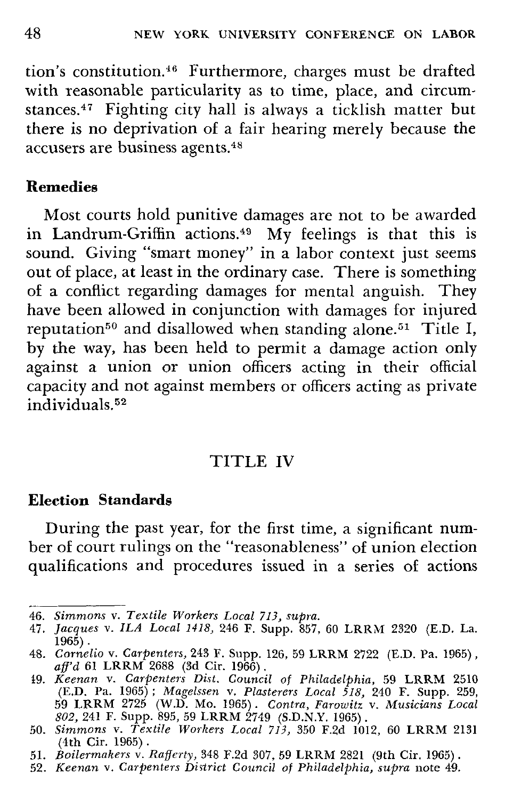tion's constitution. 46 Furthermore, charges must be drafted with reasonable particularity as to time, place, and circumstances.47 Fighting city hall is always a ticklish matter but there is no deprivation of a fair hearing merely because the accusers are business agents. <sup>48</sup>

#### **Remedies**

Most courts hold punitive damages are not to be awarded in Landrum-Griffin actions. 49 My feelings is that this is sound. Giving "smart money" in a labor context just seems out of place, at least in the ordinary case. There is something of a conflict regarding damages for mental anguish. They have been allowed in conjunction with damages for injured reputation<sup>50</sup> and disallowed when standing alone.<sup>51</sup> Title I, by the way, has been held to permit a damage action only against a union or union officers acting in their official capacity and not against members or officers acting as private individuals. 52

#### TITLE IV

#### **Election Standards**

During the past year, for the first time, a significant number of court rulings on the "reasonableness" of union election qualifications and procedures issued in a series of actions

<sup>46.</sup> *Simmons* v. *Textile Workers Local 713, supra.* 

<sup>47.</sup> *Jacques* v. *ILA Local 1418,* 246 F. Supp. 857, 60 LRRM 2320 (E.D. La. 1965).

<sup>48.</sup> *Cornelio* v. *Carpenters,* 243 F. Supp. 126, 59 LRRM 2722 (E.D. Pa. 1965), *af!'d* 61 LRRM 2688 (3d Cir. 1966).

<sup>19.</sup> *Keenan* v. *Carpenters Dist. Council of Philadelphia,* 59 LRRM 2510 (E.D. Pa. 1965); *Magelssen* v. *Plasterers Local 518,* 240 F. Supp. 259, 59 LRRM 2725 (W.D. Mo. 1965). *Contra, Farowitz* v. *Musicians Local 802,* 241 F. Supp. 895, 59 LRRM 2749 (S.D.N.Y. 1965).

<sup>50.</sup> *Simmons* v. *Textile Workers Local 713,* 350 F.2d 1012, 60 LRRM 2131 (4th Cir. 1965).

<sup>51.</sup> *Boilermakers* v. *Rafferty,* 348 F.2d 307, 59 LRRM 2821 (9th Cir. 1965).

<sup>52.</sup> *Keenan* v. *Carpenters Di5trict Council of Philadelphia, supra* note 49.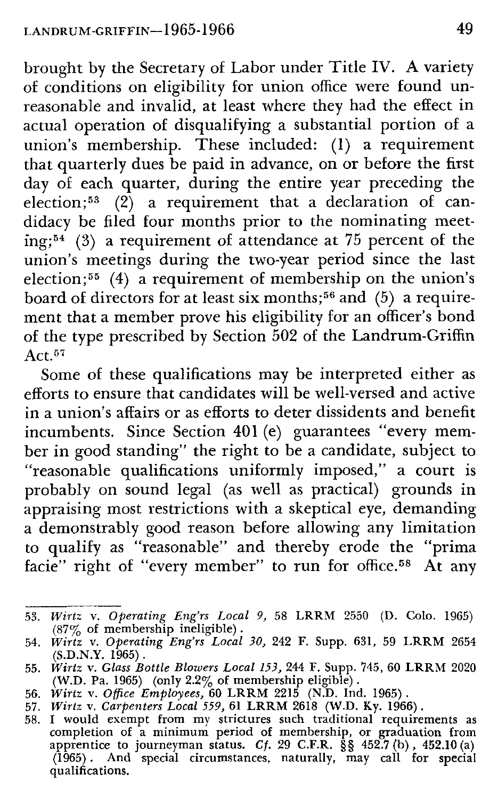brought by the Secretary of Labor under Title IV. A variety of conditions on eligibility for union office were found unreasonable and invalid, at least where they had the effect in actual operation of disqualifying a substantial portion of a union's membership. These included: (1) a requirement that quarterly dues be paid in advance, on or before the first day of each quarter, during the entire year preceding the election;<sup>53</sup> (2) a requirement that a declaration of candidacy be filed four months prior to the nominating meeting;<sup>54</sup> (3) a requirement of attendance at 75 percent of the union's meetings during the two-year period since the last election; 55 (4) a requirement of membership on the union's board of directors for at least six months;<sup>56</sup> and (5) a requirement that a member prove his eligibility for an officer's bond of the type prescribed by Section 502 of the Landrum-Griffin  $Act. 57$ 

Some of these qualifications may be interpreted either as efforts to ensure that candidates will be well-versed and active in a union's affairs or as efforts to deter dissidents and benefit incumbents. Since Section 401 (e) guarantees "every member in good standing" the right to be a candidate, subject to "reasonable qualifications uniformly imposed," a court is probably on sound legal (as well as practical) grounds in appraising most restrictions with a skeptical eye, demanding a demonstrably good reason before allowing any limitation to qualify as "reasonable" and thereby erode the "prima facie" right of "every member" to run for office.<sup>58</sup> At any

<sup>53.</sup> *Wirtz* v. *Operating Eng'rs Local 9,* 58 LRRM 2550 (D. Colo. 1965)

<sup>(87%</sup> of membership ineligible) . 54. *Wirtz* v. *Operating Eng'rs Local 30,* 242 F. Supp. 631, 59 LRRM 2654  $(S.D.N.Y. 1965)$ .

<sup>55.</sup> *Wirtz* v. *Glass Bottle Blowers Local 153,* 244 F. Supp. 745, 60 LRRM 2020

<sup>(</sup>W.D. Pa. 1965) (only 2.2% of membership eligible). 56. *Wirtz* v. *Office Employees,* 60 LRRM 2215 (N.D. Ind. 1965).

<sup>57.</sup> *Wirtz* v. *Carpenters Local 559,* 61 LRRM 2618 (W.D. Ky. 1966).

<sup>58.</sup> I would exempt from my strictures such traditional requirements as completion of a minimum period of membership, or graduation from apprentice to journeyman status. Cf. 29 C.F.R. §§ 452.7 (b), 452.10 (a) (1965). And special circumstances, naturally, may call for special qualifications.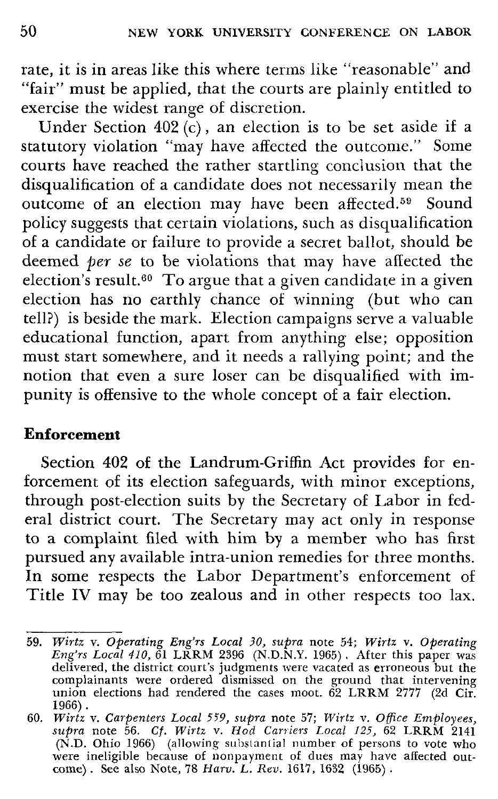rate, it is in areas like this where terms like "reasonable" and "fair" must be applied, that the courts are plainly entitled to exercise the widest range of discretion.

Under Section  $402\,$ <sub>(c)</sub>, an election is to be set aside if a statutory violation "may have affected the outcome." Some courts have reached the rather startling conclusion that the disqualification of a candidate does not necessarily mean the outcome of an election may have been affected.<sup>59</sup> Sound policy suggests that certain violations, such as disqualification of a candidate or failure to provide a secret ballot, should be deemed *per se* to be violations that may have affected the election's result.<sup>60</sup> To argue that a given candidate in a given election has no earthly chance of winning (but who can tell?) is beside the mark. Election campaigns serve a valuable educational function, apart from anything else; opposition must start somewhere, and it needs a rallying point; and the notion that even a sure loser can be disqualified with impunity is offensive to the whole concept of a fair election.

#### **Enforcement**

Section 402 of the Landrum-Griffin Act provides for enforcement of its election safeguards, with minor exceptions, through post-election suits by the Secretary of Labor in federal district court. The Secretary may act only in response to a complaint filed with him by a member who has first pursued any available intra-union remedies for three months. In some respects the Labor Department's enforcement of Title IV may be too zealous and in other respects too lax.

<sup>59.</sup> *Wirtz* v. *Operating Eng'rs Local 30, supra* note 54; *Wirtz* v. *Operating Eng'rs Local 410,* 61 LRRM 2396 (N.D.N.Y. 1965). After this paper was delivered, the district court's judgments were vacated as erroneous but the complainants were ordered dismissed on the ground that intervening union elections had rendered the cases moot. 62 LRRM 2777 (2d Cir. 1966) .

<sup>60.</sup> *Wirtz* v. *Carpenters Local 559, supra* note 57; *Wirtz* v. *Office Employees, supra* note 56. *Cf. Wirtz* v. *Hod Carriers Local 125,* 62 LRRM 2141 (N.D. Ohio 1966) (allowing substantial number of persons to vote who were ineligible because of nonpayment of dues may have affected outcome). See also Note, 78 *Harv. L. Rev.* 1617, 1632 (1965).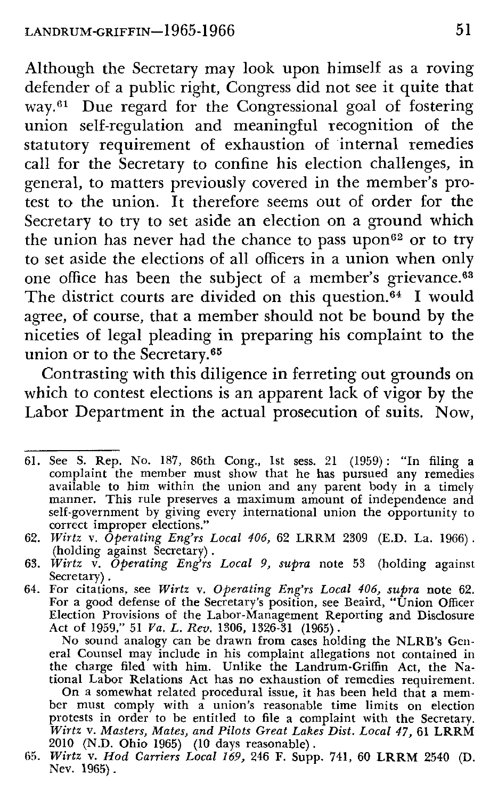Although the Secretary may look upon himself as a roving defender of a public right, Congress did not see it quite that way. 61 Due regard for the Congressional goal of fostering union self-regulation and meaningful recognition of the statutory requirement of exhaustion of internal remedies call for the Secretary to confine his election challenges, in general, to matters previously covered in the member's protest to the union. It therefore seems out of order for the Secretary to try to set aside an election on a ground which the union has never had the chance to pass upon $62$  or to try to set aside the elections of all officers in a union when only one office has been the subject of a member's grievance.<sup>63</sup> The district courts are divided on this question.<sup>64</sup> I would agree, of course, that a member should not be bound by the niceties of legal pleading in preparing his complaint to the union or to the Secretary.<sup>65</sup>

Contrasting with this diligence in ferreting out grounds on which to contest elections is an apparent lack of vigor by the Labor Department in the actual prosecution of suits. Now,

- 62. *Wirtz* v. *Operating Eng'rs Local 406,* 62 LRRM 2309 (E.D. La. 1966) . (holding against Secretary) .
- 63. *Wirtz* v. *Operating Eng'rs Local 9, supra* note 53 (holding against Secretary) .
- 64. For citations, see *Wirtz* v. *Operating Eng'rs Local 406, supra* note 62. For a good defense of the Secretary's position, see Beaird, "Union Officer Election Provisions of the Labor-Management Reporting and Disclosure Act of 1959," 51 *Va. L. Rev.* 1306, 1326-31 (1965).

No sound analogy can be drawn from cases holding the NLRB's General Counsel may include in his complaint allegations not contained in the charge filed with him. Unlike the Landrum-Griffin Act, the National Labor Relations Act has no exhaustion of remedies requirement.

On a somewhat related procedural issue, it has been held that a member must comply with a union's reasonable time limits on election protests in order to be entitled to file a complaint with the Secretary. *Wirtz* v. *Masters, Mates, and Pilots Great Lakes Dist. Local 47,* 61 LRRM

2010 (N.D. Ohio 1965) (10 days reasonable). 65. *Wirtz* v. *Hod Carriers Local 169,* 246 F. Supp. 741, 60 **LRRM** 2540 (D. Nev. 1965).

<sup>61.</sup> See S. Rep. No. 187, 86th Cong., 1st sess. 21 (1959): "In filing a complaint the member must show that he has pursued any remedies available to him within the union and any parent body in a timely manner. This rule preserves a maximum amount of independence and self-government by giving every international union the opportunity to correct improper elections."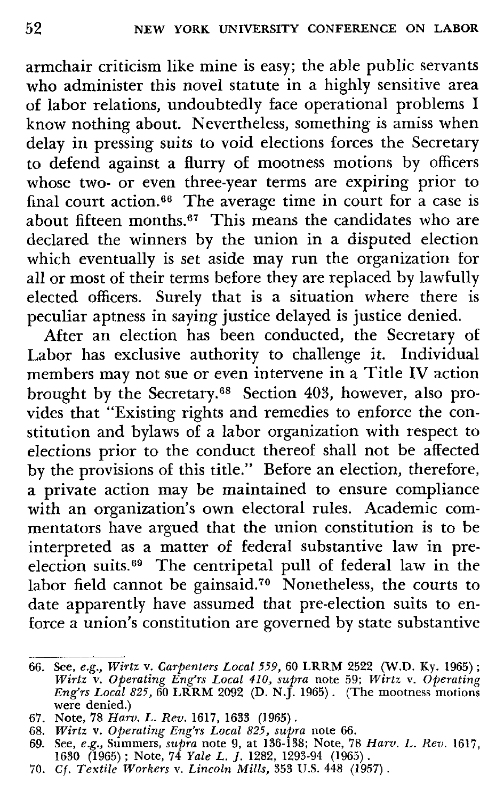armchair criticism like mine is easy; the able public servants who administer this novel statute in a highly sensitive area of labor relations, undoubtedly face operational problems I know nothing about. Nevertheless, something is amiss when delay in pressing suits to void elections forces the Secretary to defend against a flurry of mootness motions by officers whose two- or even three-year terms are expiring prior to final court action.<sup>66</sup> The average time in court for a case is about fifteen months.<sup>67</sup> This means the candidates who are declared the winners by the union in a disputed election which eventually is set aside may **run** the organization for all or most of their terms before they are replaced by lawfully elected officers. Surely that is a situation where there is peculiar aptness in saying justice delayed is justice denied.

After an election has been conducted, the Secretary of Labor has exclusive authority to challenge it. Individual members may not sue or even intervene in a Title IV action brought by the Secretary. 68 Section 403, however, also provides that "Existing rights and remedies to enforce the constitution and bylaws of a labor organization with respect to elections prior to the conduct thereof shall not be affected by the provisions of this title." Before an election, therefore, a private action may be maintained to ensure compliance with an organization's own electoral rules. Academic commentators have argued that the union constitution is to be interpreted as a matter of federal substantive law in preelection suits. 69 The centripetal pull of federal law in the labor field cannot be gainsaid.<sup>70</sup> Nonetheless, the courts to date apparently have assumed that pre-election suits to enforce a union's constitution are governed by state substantive

<sup>66.</sup> See, *e.g., Wirtz* v. *Carpenters Local 559,* 60 LRRM 2522 (W.D. Ky. 1965); *Wirtz* v. *Operating Eng'rs Local 410, supra* note 59; *Wirtz* v. *Operating Eng'rs Local 825,* 60 LRRM 2092 (D. N.J. 1965). (The mootness motions were denied.)

<sup>67.</sup> Note, 78 *Harv. L. Rev.* 1617, 1633 (1965).

<sup>68.</sup> *Wirtz* v. *Operating Eng'rs Local 825, supra* note 66. 69. See, *e.g.,* Summers, *supra* note 9, at 136-138; Note, 78 *Harv. L. Rev.* 1617, 1630 (1965); Note, 74 *Yale L. ].* 1282, 1293-94 (1965). 70. *Cf. Textile Workers* v. *Lincoln Mills,* 353 U.S. 448 (1957).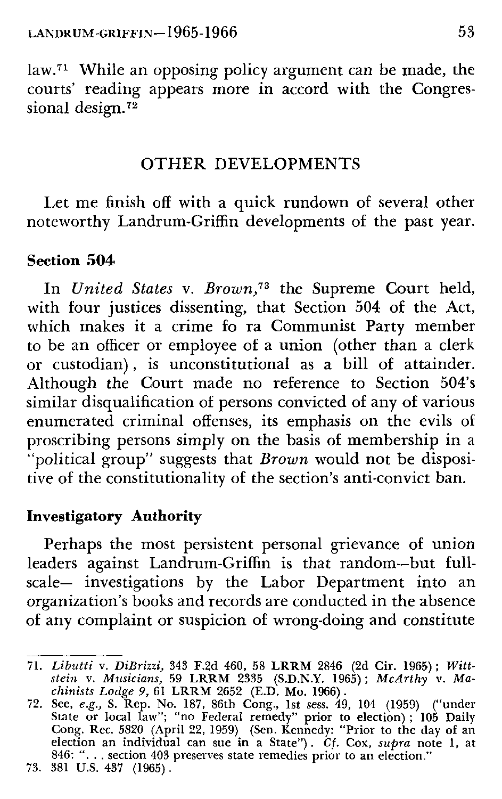law.<sup>71</sup> While an opposing policy argument can be made, the courts' reading appears more in accord with the Congressional design. $72$ 

#### OTHER DEVELOPMENTS

Let me finish off with a quick rundown of several other noteworthy Landrum-Griffin developments of the past year.

#### **Section 504**

In *United States* v. *Brown,* 73 the Supreme Court held, with four justices dissenting, that Section 504 of the Act, which makes it a crime fo ra Communist Party member to be an officer or employee of a union (other than a clerk or custodian), is unconstitutional as a bill of attainder. Although the Court made no reference to Section 504's similar disqualification of persons convicted of any of various enumerated criminal offenses, its emphasis on the evils of proscribing persons simply on the basis of membership in a "political group" suggests that *Brown* would not be dispositive of the constitutionality of the section's anti-convict ban.

#### **Investigatory Authority**

Perhaps the most persistent personal grievance of union leaders against Landrum-Griffin is that random-but fullscale- investigations by the Labor Department into an organization's books and records are conducted in the absence of any complaint or suspicion of wrong-doing and constitute

<sup>71.</sup> *Libutti* v. *DiBrizzi,* 343 F.2d 460, 58 **LRRM** 2846 (2d Cir. 1965); *Wittstein* v. *Musicians,* 59 LRRM 2335 (S.D.N.Y. 1965); *McArthy* v. *Machinists Lodge 9,* 61 LRRM 2652 (E.D. Mo. 1966).

<sup>72.</sup> See, *e.g.,* S. Rep. No. 187, 86th Cong., 1st sess. 49, 104 (1959) ("under State or local law"; "no Federal remedy" prior to election) ; 105 Daily Cong. Rec. 5820 (April 22, 1959) (Sen. Kennedy: "Prior to the day of an election an individual can sue in a State"). *Cf.* Cox, *supra* note 1, at 846: "... section 403 preserves state remedies prior to an election."

<sup>73. 381</sup> U.S. 437 (1965).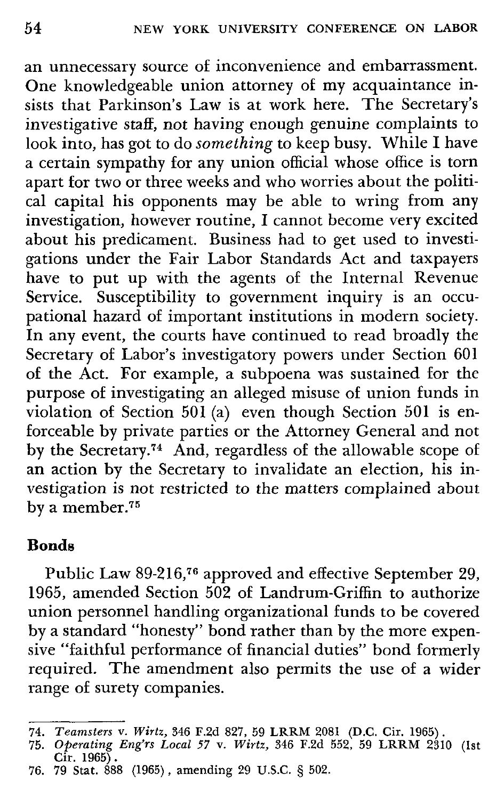an unnecessary source of inconvenience and embarrassment. One knowledgeable union attorney of my acquaintance insists that Parkinson's Law is at work here. The Secretary's investigative staff, not having enough genuine complaints to look into, has got to do *something* to keep busy. While I have a certain sympathy for any union official whose office is torn apart for two or three weeks and who worries about the political capital his opponents may be able to wring from any investigation, however routine, I cannot become very excited about his predicament. Business had to get used to investigations under the Fair Labor Standards Act and taxpayers have to put up with the agents of the Internal Revenue Service. Susceptibility to government inquiry is an occupational hazard of important institutions in modern society. In any event, the courts have continued to read broadly the Secretary of Labor's investigatory powers under Section 601 of the Act. For example, a subpoena was sustained for the purpose of investigating an alleged misuse of union funds in violation of Section 501 (a) even though Section 501 is enforceable by private parties or the Attorney General and not by the Secretary.74 And, regardless of the allowable scope of an action by the Secretary to invalidate an election, his investigation is not restricted to the matters complained about by a member.<sup>75</sup>

#### **Bonds**

Public Law 89-216,76 approved and effective September 29, 1965, amended Section 502 of Landrum-Griffin to authorize union personnel handling organizational funds to be covered by a standard "honesty" bond rather than by the more expensive "faithful performance of financial duties" bond formerly required. The amendment also permits the use of a wider range of surety companies.

<sup>74.</sup> *Teamsters* v. *Wirtz,* 346 F.2d 827, 59 LRRM 2081 (D.C. Cir. 1965). 75. *Operating Eng'rs Local 57* v. *Wirtz,* 346 F.2d 552, 59 LRRM 2310 (1st Cir. 1965).

<sup>76. 79</sup> Stat. 888 (1965), amending 29 U.S.C. § 502.